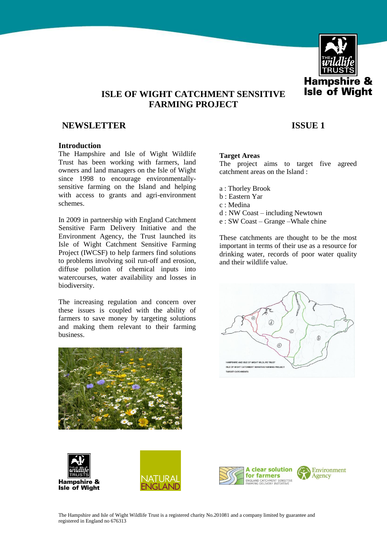

# **ISLE OF WIGHT CATCHMENT SENSITIVE FARMING PROJECT**

# **NEWSLETTER** ISSUE 1

# **Introduction**

The Hampshire and Isle of Wight Wildlife Trust has been working with farmers, land owners and land managers on the Isle of Wight since 1998 to encourage environmentallysensitive farming on the Island and helping with access to grants and agri-environment schemes.

In 2009 in partnership with England Catchment Sensitive Farm Delivery Initiative and the Environment Agency, the Trust launched its Isle of Wight Catchment Sensitive Farming Project (IWCSF) to help farmers find solutions to problems involving soil run-off and erosion, diffuse pollution of chemical inputs into watercourses, water availability and losses in biodiversity.

The increasing regulation and concern over these issues is coupled with the ability of farmers to save money by targeting solutions and making them relevant to their farming business.









#### **Target Areas**

The project aims to target five agreed catchment areas on the Island :

- a : Thorley Brook
- b : Eastern Yar
- c : Medina
- d : NW Coast including Newtown
- e : SW Coast Grange –Whale chine

These catchments are thought to be the most important in terms of their use as a resource for drinking water, records of poor water quality and their wildlife value.